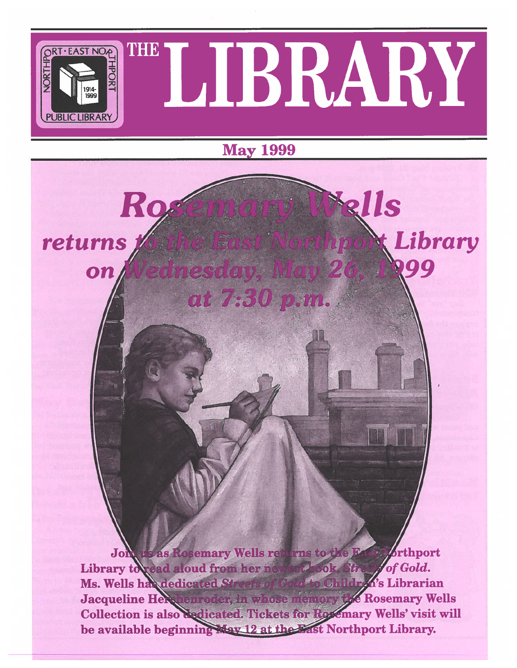

## May 1999

at 7:30 p.m.

Library

199



rthport Gold. i's Librarian Jacqueline Herthemroder, in whose memory the Rosemary Wells Collection is also dedicated. Tickets for Rosemary Wells' visit will be available beginning May 12 at the Fast Northport Library. Johns as Rosemary Wells returns to the F<br>Library to read aloud from her new address of Ms. Wells h'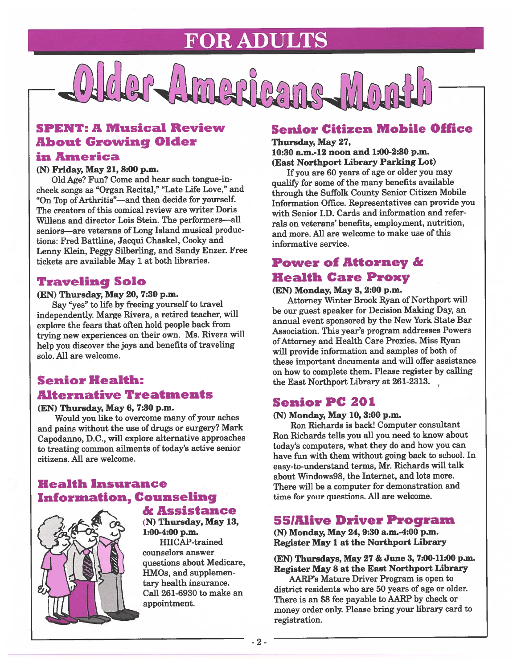## FOR ADULTS

#### SPENT: A Musical Review About Growing Older

#### in America

#### (N) Friday, May 21, 8:00 p.m.

Old Age? Fun? Come and hear such tongue-incheek songs as "Organ Recital," "Late Life Love," and "On Top of Arthritis"—and then decide for yourself The creators of this comical review are writer Doris Willens and director Lois Stein. The performers—all seniors—are veterans of Long Island musical produc tions: Fred Battline, Jacqui Chaskel, Cooky and Lenny Klein, Peggy Silberling, and Sandy Enzer. Free tickets are available May 1 at both libraries.

#### Traveling Solo

#### (EN) Thursday, May 20, 7:30 p.m.

Say "yes" to life by freeing yourself to travel independently. Marge Rivera, <sup>a</sup> retired teacher, will explore the fears that often hold people back from trying new experiences on their own. Ms. Rivera will help you discover the joys and benefits of traveling solo. All are welcome.

#### Senior Health: Alternative Treatments

#### (EN) Thursday, May 6, 7:30 p.m.

Would you like to overcome many of your aches and pains without the use of drugs or surgery? Mark Capodanno, D.C., will explore alternative approaches to treating common ailments of today's active senior citizens. All are welcome.

#### Health Insurance Information, Counseling



### & Assistance

(N) Thursday, May 13, 1:00-4:00 p.m.

HIICAP-trained counselors answer questions about Medicare, HMOs, and supplemen tary health insurance. Call 261-6930 to make an appointment.

#### Senior Citizen Mobile Office

Thursday, May 27, 10:30 a.m.-12 noon and 1:00-2:30 p.m. (East Northport Library Parking Lot)

If you are 60 years of age or older you may qualify for some of the many benefits available through the Suffolk County Senior Citizen Mobile Information Office. Representatives can provide you with Senior I.D. Cards and information and refer rals on veterans' benefits, employment, nutrition, and more. All are welcome to make use of this informative service.

#### Power of Attorney & Health Care Proxy

(EN) Monday, May 3, 2:00 p.m. Attorney Winter Brook Ryan of Northport will be our gues<sup>t</sup> speaker for Decision Making Day, an annual event sponsored by the New York State Bar Association. This year's program addresses Powers ofAttorney and Health Care Proxies. Miss Ryan will provide information and samples of both of these important documents and will offer assistance on how to complete them. Please register by calling the East Northport Library at 261-2313.

#### Senior PC 201

#### (N) Monday, May 10, 3:00 p.m.

Ron Richards is back! Computer consultant Ron Richards tells you all you need to know about today's computers, what they do and how you can have fun with them without going back to school. In easy-to-understand terms, Mr. Richards will talk about Windows98, the Internet, and lots more. There will be a computer for demonstration and time for your questions. All are welcome.

#### S5IAlive Driver Program

(N) Monday, May 24, 9:30 a.m.-4:00 p.m. Register May <sup>1</sup> at the Northport Library

(EN) Thursdays, May 27 & June 3,7:00-11:00 p.m. Register May <sup>8</sup> at the East Northport Library

AARP's Mature Driver Program is open to district residents who are 50 years of age or older. There is an \$8 fee payable to AARP by check or money order only. Please bring your library card to registration.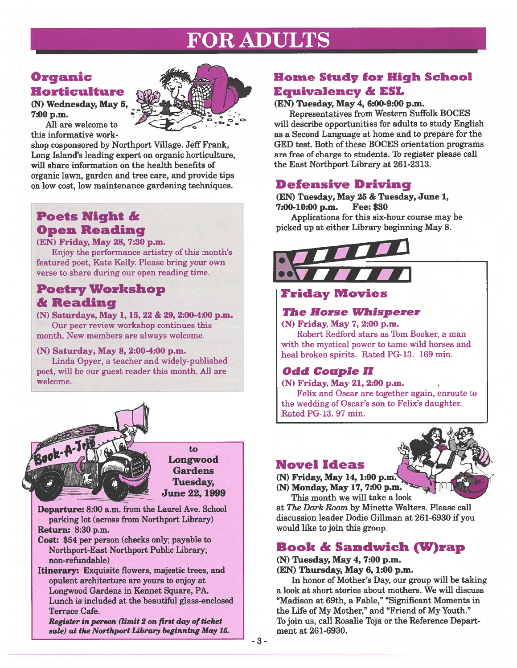## FOR ADULTS

#### Organic Horticulture

(N) Wednesday, May 5, 7:00 p.m.

All are welcome to this informative work

shop cosponsored by Northport Village. Jeff Frank, Long Island's leading exper<sup>t</sup> on organic horticulture, will share information on the health benefits of organic lawn, garden and tree care, and provide tips on low cost, low maintenance gardening techniques.

 $\overline{2}$ 

#### Poets Night & Open Reading

(EN) Friday, May 28, 7:30 p.m.

Enjoy the performance artistry of this month's featured poet, Kate Kelly. Please bring your own verse to share during our open reading time.

#### Poetry Workshop & Reading

(N) Saturdays, May 1, 15, 22 & 29, 2:00-4:00 p.m. Our peer review workshop continues this month. New members are always welcome.

#### (N) Saturday, May 8, 2:00-4:00 p.m.

Linda Opyer, <sup>a</sup> teacher and widely-published poet, will be our gues<sup>t</sup> reader this month. All are welcome.



toLongwood **Gardens** June 22, 1999

Departure: 8:00 a.m. from the Laurel Ave. School parking lot (across from Northport Library) **Return:** 8:30 p.m.

Cost: \$54 per person (checks only; payable to Northport-East Northport Public Library; non-refhndable)

Itinerary: Exquisite flowers, majestic trees, and opulent architecture are yours to enjoy at Longwood Gardens in Kennet Square, PA. Lunch is included at the beautiful glass-enclosed Terrace Cafe.

Register in person (limit 2 on first day of ticket sale) at the Northport Library beginning May 15.

#### Home Study for High School Equivalency & ESL

#### (EN) Tuesday, May 4, 6:00-9:00 p.m.

Representatives from Western Suffolk BOCES will describe opportunities for adults to study English as a Second Language at home and to prepare for the GED test. Both of these BOCES orientation programs are free of charge to students. To register please call the East Northport Library at 261-2313.

#### Defensive Driving

(EN) Tuesday, May 25 & Tuesday, June 1, 7:00-10:00 p.m. **Fee: \$30** 

Applications for this six-hour course may be picked up at either Library beginning May 8.



#### Friday Movies

#### The Horse Whisperer

(N) Friday, May 7, 2:00 p.m.

Robert Redford stars as Tom Booker, <sup>a</sup> man with the mystical power to tame wild horses and heal broken spirits. Rated PG-13. 169 min

#### Odd Couple II

(N) Friday, May 21, 2:00 p.m.

Felix and Oscar are together again, enroute to the wedding of Oscar's son to Felix's daughter.  $\rm Rated~PG$ -13.  $97~\rm min$ 

#### Novel Ideas

(N) Friday, May 14, 1:00 p.m. (N) Monday, May 17, 7:00 p.m.



This month we will take <sup>a</sup> look at The Dark Room by Minette Walters. Please call discussion leader Dodie Giliman at 261-6930 if you would like to join this group.

#### Book & Sandwich (W)rap

(N) Tuesday, May 4, 7:00 p.m. (EN) Thursday, May 6,1:00 p.m.

In honor of Mother's Day, our group will be taking a look at short stories about mothers. We will discuss "Madison at 69th, <sup>a</sup> Fable," "Significant Moments in the Life of My Mother," and "Friend of My Youth." To join us, call Rosalie Toja or the Reference Depart ment at 261-6930.

-3-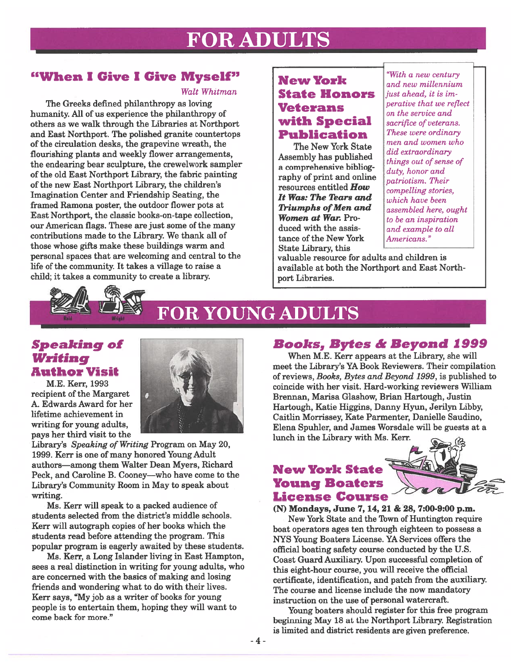## FOR ADULTS

#### <u>"When I Give I Give Myself</u>"

#### Walt Whitman

The Greeks defmed philanthropy as loving humanity. All of us experience the philanthropy of others as we walk through the Libraries at Northport and East Northport. The polished granite countertops of the circulation desks, the grapevine wreath, the flourishing plants and weekly flower arrangements, the endearing bear sculpture, the crewelwork sampler of the old East Northport Library, the fabric painting of the new East Northport Library, the children's Imagination Center and Friendship Seating, the framed Ramona poster, the outdoor flower pots at East Northport, the classic books-on-tape collection, our American flags. These are just some of the many contributions made to the Library. We thank all of those whose gifts make these buildings warm and personal spaces that are welcoming and central to the life of the community. It takes <sup>a</sup> village to raise <sup>a</sup> child; it takes <sup>a</sup> community to create <sup>a</sup> library.

#### New York State Honors Veteranswith Special Publication

The New York State Assembly has published a comprehensive bibliog raphy of print and online resources entitled  $\bm{H}$ ow It Was: The Tears and Triumphs ofMen and **Women at War.** Produced with the assis tance of the New York State Library, this

"With a new century and new millennium just ahead, it is im perative that we reflect on the service and sacrifice of veterans. These were ordinary men and women who did extraordinary things out of sense of duty, honor and patriotism. Their compelling stories, which have been assembled here, ought to be an inspiration and example to all Americans."

valuable resource for adults and children is available at both the Northport and East Northpor<sup>t</sup> Libraries.



#### Speaking of Writing Author Visit

M.E. Kerr, 1993 recipient of the Margaret A. Edwards Award for her lifetime achievement in writing for young adults, pays her third visit to the



Library's Speaking of Writing Program on May 20, 1999. Kerr is one of many honored Young Adult authors—among them Walter Dean Myers, Richard Peck, and Caroline B. Cooney—who have come to the Library's Community Room in May to speak about writing.

Ms. Kerr will speak to <sup>a</sup> packed audience of students selected from the district's middle schools. Kerr will autograph copies of her books which the students read before attending the program. This popular program is eagerly awaited by these students.

Ms. Kerr, a Long Islander living in East Hampton, sees a real distinction in writing for young adults, who are concerned with the basics of making and losing friends and wondering what to do with their lives. Kerr says, "My job as <sup>a</sup> writer of books for young people is to entertain them, hoping they will want to come back for more."

#### Books, Bytes & Beyond 1999

When M.E. Kerr appears at the Library, she will meet the Library's YA Book Reviewers. Their compilation of reviews, *Books, Bytes and Beyond 1999*, is published to coincide with her visit. Hard-working reviewers William Brennan, Marisa Glashow, Brian Hartough, Justin Hartough, Katie Higgins, Danny Hyun, Jerilyn Libby, Caitlin Morrissey, Kate Parmenter, Danielle Saudino, Elena Spuhler, and James Worsdale will be guests at <sup>a</sup> lunch in the Library with Ms. Kerr.

#### New York State Young Boaters License Course



New York State and the Town of Huntington require boat operators ages ten through eighteen to possess <sup>a</sup> NYS Young Boaters License. YA Services offers the official boating safety course conducted by the U.S. Coast Guard Auxiliary. Upon successful completion of this eight-hour course, you will receive the official certificate, identification, and patch from the auxiliary. The course and license include the now mandatory instruction on the use of personal watercraft.

Young boaters should register for this free program beginning May 18 at the Northport Library. Registration is limited and district residents are given preference.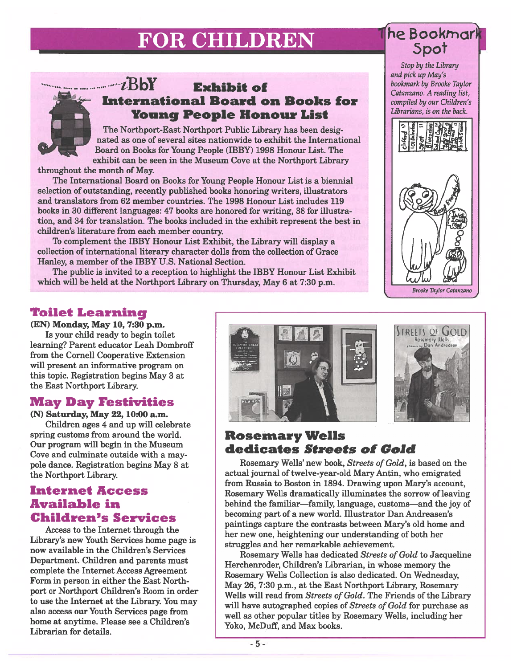# FOR CHILDREN The Bookmar



#### $i$ BbY Exhibit ofInternational Board on Books for Young People Honour List

The Northport-East Northport Public Library has been desig nated as one of several sites nationwide to exhibit the International Board on Books for Young People (IBBY) 1998 Honour List. The exhibit can be seen in the Museum Cove at the Northport Library throughout the month of May.

The International Board on Books for Young People Honour List is <sup>a</sup> biennial selection of outstanding, recently published books honoring writers, illustrators and translators from 62 member countries. The 1998 Honour List includes 119 books in 30 different languages: 47 books are honored for writing, 38 for illustra tion, and 34 for translation. The books included in the exhibit represen<sup>t</sup> the best in children's literature from each member country.

To complement the IBBY Honour List Exhibit, the Library will display a collection of international literary character dolls from the collection of Grace Hanley, <sup>a</sup> member of the IBBY U.S. National Section.

The public is invited to a reception to highlight the IBBY Honour List Exhibit which will be held at the Northport Library on Thursday, May 6 at 7:30 p.m.

Stop by the Library and pick up May's bookmark by Brooke Taylor Catanzano. A reading list, compiled by our Children's Librarians, is on the back.



#### Toilet Learning

(EN) Monday, May 10, 7:30 p.m.

Is your child ready to begin toilet learning? Parent educator Leah Dombroff from the Cornell Cooperative Extension will presen<sup>t</sup> an informative program on this topic. Registration begins May 3 at the East Northport Library.

### May Day Festivities

(N) Saturday, May 22, 10:00 a.m. Children ages 4 and up will celebrate

spring customs from around the world. Our program will begin in the Museum Cove and culminate outside with <sup>a</sup> may pole dance. Registration begins May 8 at the Northport Library.

#### Internet AccessAvailable inChildren's Services

Access to the Internet through the Library's new Youth Services home page is now available in the Children's Services Department. Children and parents must complete the Internet Access Agreement Form in person in either the East Northpor<sup>t</sup> or Northport Children's Room in order to use the Internet at the Library You may also access our Youth Services page from home at anytime. Please see <sup>a</sup> Children's Librarian for details.





#### Rosemary Wells dedicates Streets of Gold

Rosemary Wells' new book, Streets of Gold, is based on the actual journal of twelve-year-old Mary Antin, who emigrated from Russia to Boston in 1894. Drawing upon Mary's account, Rosemary Wells dramatically illuminates the sorrow of leaving behind the familiar—family, language, customs—and the joy of becoming par<sup>t</sup> of <sup>a</sup> new world. Illustrator Dan Andreasen's paintings capture the contrasts between Mary's old home and her new one, heightening our understanding of both her struggles and her remarkable achievement.

Rosemary Wells has dedicated Streets of Gold to Jacqueline Herchenroder, Children's Librarian, in whose memory the Rosemary Wells Collection is also dedicated. On Wednesday, May 26, 7:30 p.m., at the East Northport Library, Rosemary Wells will read from Streets of Gold. The Friends of the Library will have autographed copies of Streets of Gold for purchase as well as other popular titles by Rosemary Wells, including her Yoko, McDuff, and Max books.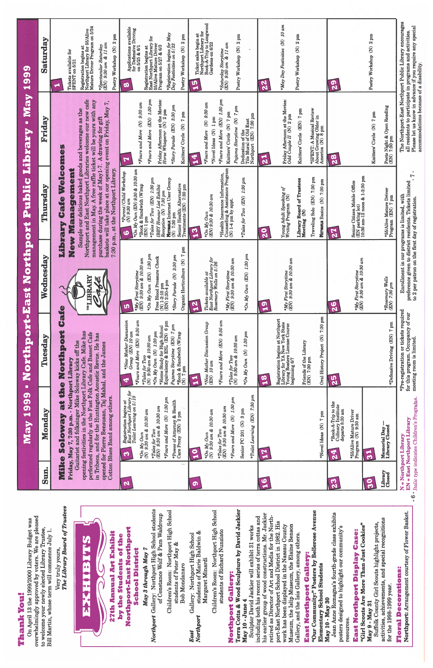**Thank You!** Thank You!

overwhelmingly approved by voters. We are pleased overwhelmingly approved by voters. We are pleased On April 13 the 1999/2000 Library Budget was On April 13 the 1999/2000 Library Budget was to welcome your newly elected Library Trustee, Bill Martin, whose term will commence July 1. to welcome your newly elected Library Trustee, Bill Martin, whose term will commence July 1.

The Library Board of Trustees The Library Board ofTrustees Very truly yours, Very truly yours,

Northport: Arrangement courtesy of Flower Basket.

Northport: Arrangement courtesy of Flower Basket.



.<br>م

| Sun.                                | Monday                                                                                                                                                                                                                                                                                                                                                                                                       | Tuesday                                                                                                                                                                                                                                                                                    | $\sum_{i=1}^{n}$<br>Wednesda                                                                                                                                                                                                    | Thursday                                                                                                                                                                                                                                                                                                                                                                                                       | Friday                                                                                                                                                                                                                                        | Saturday                                                                                                                                                                                                                                                                                       |
|-------------------------------------|--------------------------------------------------------------------------------------------------------------------------------------------------------------------------------------------------------------------------------------------------------------------------------------------------------------------------------------------------------------------------------------------------------------|--------------------------------------------------------------------------------------------------------------------------------------------------------------------------------------------------------------------------------------------------------------------------------------------|---------------------------------------------------------------------------------------------------------------------------------------------------------------------------------------------------------------------------------|----------------------------------------------------------------------------------------------------------------------------------------------------------------------------------------------------------------------------------------------------------------------------------------------------------------------------------------------------------------------------------------------------------------|-----------------------------------------------------------------------------------------------------------------------------------------------------------------------------------------------------------------------------------------------|------------------------------------------------------------------------------------------------------------------------------------------------------------------------------------------------------------------------------------------------------------------------------------------------|
| <b>Milke</b>                        | opening festivities in the Northport Library Cafe. Mike has<br>performed regularly at the Fast Folk Cafe and Basset Cafe<br>in Tribeca, and for the Huntington Acoustic Revue. He has<br>Guitarist and folksinger Mike Soloway kicks off the<br>opened for Pierre Bensusan, Taj Mahal, and the James<br>Friday, May 7, 7:30 p.m. - Northport Library<br>Cotton Blues Band among others.<br><b>Je Áemoros</b> | <b>Caie</b><br>Northport<br>the                                                                                                                                                                                                                                                            | "LIBRARY<br>W                                                                                                                                                                                                                   | Northport and East Northport Libraries welcome our new cafe<br>management in May. A free raffle ticket will be yours with any<br>baskets will take place at our opening event on Friday, May<br>Sample our delicious baked goods and beverages as the<br>purchase during the week of May1-7. A drawing for gift<br>Welcome<br>7:30 p.m., at the Northport Library.<br>New Management<br>Cafe<br><b>VAPAQET</b> | $\mathcal{T}_{i}$<br>U                                                                                                                                                                                                                        | Northport Library for 55/Alive<br>Mature Driver Program on 5/24<br>Poetry Workshop (N) 2 pm<br>*Spectacular Saturday<br>(EN) 9:30 am & 11 am<br>Registration begins at<br>Tickets available for<br>SPENT on 5/21                                                                               |
| 2                                   | Registration begins at<br>East Northport Library for<br>Toilet Learning on 5/10<br>*Fours and More (N) 1:30 pm<br>& Health<br>*Tales for Two<br>(EN) 9:30 am & 10:30 am<br>*On My Own<br>(N) 9:30 am & 10:30 am<br>*Power of Attorney & H<br>Care Proxy (EN) 2 pm<br>S                                                                                                                                       | *New Mother Discussion<br>Group (EN) 10 am<br>*Fours and More (EN) 9:30 am<br>Equivalency & ESL (EN) 6 pm<br>Pajama Storytime (EN) 7 pm<br>*Home Study for High School<br>*On My Own (N) 1:30 pm<br>*Book & Sandwich (W)rap<br>*Tales for Two<br>(N) 9:30 am & 10:30 am<br>$(M)$ 7 pm<br>4 | $7\,\mathrm{pm}$<br>*On My Own (EN) 1:30 pm<br>*Story Parade (N) 3:30 pm<br>Free Blood Pressure Check<br>*My First Storytime<br>(EN) 9:30 am & 10:30 am<br>Organic Horticulture (N)<br>(N) $1-2:15$ pm<br>(EN) $2:30-4$ pm<br>m | *On My Own (EN) 9:30 & 10:30 am<br>*Parent/Child Workshop<br>(N) 9:30 am<br>*Tales for Two $(EN)$ 1:30 pm<br><b>NETWALK</b> Internet User Group<br>(N) 7:30 pm<br>Alternative<br>*Book & Sandwich (W)rap<br>IBBY Honour List Exhibit<br>Reception (N) 7:30 pm<br>Treatments (EN) 7:30 pm<br>Senior Health:<br>$_{\rm{m}}$<br>$(EN) 1$ pm<br>$\bullet$                                                          | $(EN)$ 1:30 pm<br>Friday Afternoon at the Movies:<br>Horse Whisperer (N) 2 pm<br>*Fours and More (N) 9:30 am<br>*Story Parade (EN) 3:30 pm<br>$7 \text{ pm}$<br>Knitters' Circle (N)<br>*Fours and More<br>Z                                  | Applications available<br>for Defensive Driving<br>on 5/25 & 6/1<br>Max<br>$2 \text{ pm}$<br>Registration begins at<br>East Northport Library for<br>55/Alive Mature Driver<br>Program on 5/27 & 6/3<br>*Registration begins for<br>Day Festivities on 5/22<br>Poetry Workshop (N)<br>$\infty$ |
| <u>ග</u>                            | *Toilet Learning (EN) 7:30 pm<br>*Fours and More (N) 1:30 pm<br>*Tales for Two<br>(EN)  9:30 am & 10:30 am<br>Senior PC 201 (N) 3 pm<br>*On My Own<br>(N) 9:30 am & 10:30 am<br>$\overline{\mathbf{S}}$                                                                                                                                                                                                      | *Fours and More (EN) 9:30 am<br>*New Mother Discussion Group<br>(EN) 10 am<br>*On My Own $(N)$ 1:30 pm<br>*Tales for Two<br>(N) 9:30 am & 10:30 am                                                                                                                                         | *On My Own (EN) 1:30 pm<br>Tickets available at<br>East Northport Library for<br>Rosemary Wells on 5/26<br>2<br>*My First Storytime<br>(EN)  9:30 am & 10:30 an<br>$\overline{\mathbf{z}}$                                      | *Health Insurance Information,<br>Counseling & Assistance Program<br>(N) 1-4 pm by appt.<br>*Tales for Two $(EN)$ 1:30 pm<br>*On My Own<br>(EN) 9:30 & 10:30 am<br>$\overline{3}$                                                                                                                                                                                                                              | *Fours and More (EN) 1:30 pm<br>$(N)$ 9:30 am<br>$7$ pm<br>Knitters' Circle (N) 7 pm<br>Northport (EN) 7:30 pm<br>*Novel Ideas (N) 1 pm<br>Pajama Storytime (N)<br>Tile Mural of Old East<br>*Fours and More<br>Dedication of the<br><b>P</b> | Northport Library for<br>Book-A-Trip to Longwood<br>Gardens on 6/22<br>Ticket sales begin at<br>Poetry Workshop (N) 2 pm<br>*Saturday Storytime<br>(EN) 9:30 am & 11 am<br>$\frac{5}{2}$                                                                                                       |
|                                     | *Novel Ideas (N) 7 pm<br>$\overline{\mathbf{z}}$                                                                                                                                                                                                                                                                                                                                                             | Oral History Project (N) 7:30 pm<br>Registration begins at Northport<br>Library for YA New York State<br>Young Boaters License Course<br>Friends of the Library<br>(EN) 7:30 pm<br>beginning 6/7<br>$\frac{1}{8}$                                                                          | *My First Storytime<br>(EN)  9:30 am & 10:30 am<br>$\overline{a}$                                                                                                                                                               | (EN) 7:30 pm<br>Library Board of Trustees<br>Meeting (N)<br>7:30 pm<br>Young Adult Speaking of<br>Writing Program<br><b>NETWALK Basics (N)</b><br><b>Traveling Solo</b><br>20                                                                                                                                                                                                                                  | Friday Afternoon at the Movies:<br>Odd Couple II (N) 2 pm<br>*SPENT: A Musical Review<br>$7\,\mathrm{pm}$<br>About Growing Older in<br>America (N) 8 pm<br>Knitters' Circle (EN)<br>21                                                        | *May Day Festivities (N) 10 am<br>$2\,\mathrm{pm}$<br>Poetry Workshop (N)<br>$\overline{22}$                                                                                                                                                                                                   |
| Library<br>Closed<br>23<br>$\bf{S}$ | *Book-A-Trip to the<br>Culinary Institute<br>departs 8:30 am<br>*55/Alive Mature Driver<br>Program (N) 9:30 am<br>Memorial Day -<br>Library Closed<br>$\mathbf{z}$<br>6                                                                                                                                                                                                                                      | 80                                                                                                                                                                                                                                                                                         | *My First Storytime<br>(EN)  9:30 am & 10:30 am<br>*Rosemary Wells<br>(EN) 7:30 pm<br>$\frac{26}{2}$                                                                                                                            | Senior Citizen Mobile Office<br>(EN parking lot)<br>10:30 am-12 noon & 1-2:30 pm<br>27                                                                                                                                                                                                                                                                                                                         | Poets Night & Open Reading<br>(EN) 7:30 pm<br>Knitters' Circle (N) 7 pm<br>$\overline{28}$                                                                                                                                                    | Poetry Workshop (N) 2 pm<br>$\overline{29}$                                                                                                                                                                                                                                                    |
| Z<br>G                              | Italic type indicates Children's Programs.<br>EN = East Northport Library<br>= Northport Library                                                                                                                                                                                                                                                                                                             | *Pre-registration or tickets required<br>for this program. Occupancy of our<br>*Defensive Driving (EN) 7 pm<br>meeting room is limited.                                                                                                                                                    | preference given to district residents. Tickets limited<br>Enrollment in our programs is limited, with<br>to 2 per patron on                                                                                                    | $\overline{7}$<br>*55/Alive Mature Driver<br>Program (EN) 7 pm<br>the first day of registration.                                                                                                                                                                                                                                                                                                               | The Northport-East Northport Public Library encourages<br>Please let us know in advance if you require any special<br>all residents to participate in programs and activities                                                                 |                                                                                                                                                                                                                                                                                                |